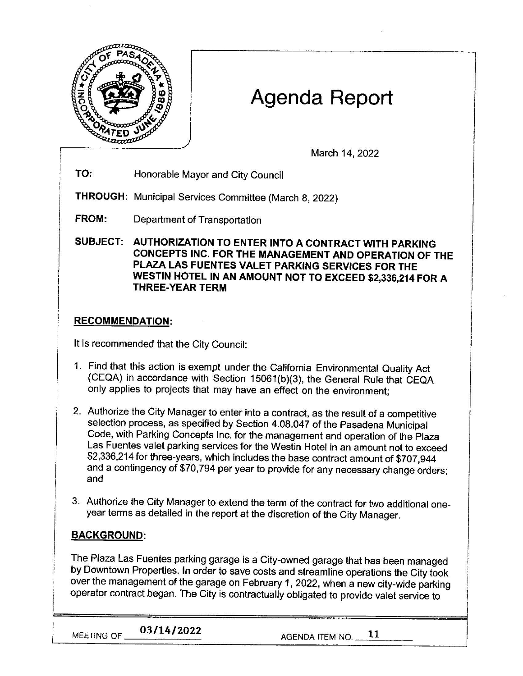

# Agenda Report

March 14, 2022

**TO:** Honorable Mayor and City Council

**THROUGH:** Municipal Services Committee (March 8, 2022)

**FROM:** Department of Transportation

**SUBJECT: AUTHORIZATION TO ENTER INTO A CONTRACT WITH PARKING CONCEPTS INC. FOR THE MANAGEMENT AND OPERATION OF THE PLAZA LAS FUENTES VALET PARKING SERVICES FOR THE WESTIN HOTEL IN AN AMOUNT NOT TO EXCEED \$2,336,214 FOR A THREE-YEAR TERM** 

## **RECOMMENDATION:**

It is recommended that the City Council:

- 1. Find that this action is exempt under the California Environmental Quality Act (CEQA) in accordance with Section 15061(b)(3), the General Rule that CEQA only applies to projects that may have an effect on the environment;
- 2. Authorize the City Manager to enter into a contract, as the result of a competitive selection process, as specified by Section 4.08.047 of the Pasadena Municipal Code, with Parking Concepts Inc. for the management and operation of the Plaza Las Fuentes valet parking services for the Westin Hotel in an amount not to exceed \$2,336,214 for three-years, which includes the base contract amount of \$707,944 and a contingency of \$70,794 per year to provide for any necessary change orders; and
- 3. Authorize the City Manager to extend the term of the contract for two additional oneyear terms as detailed in the report at the discretion of the City Manager.

## **BACKGROUND:**

The Plaza Las Fuentes parking garage is a City-owned garage that has been managed by Downtown Properties. In order to save costs and streamline operations the City took over the management of the garage on February 1, 2022, when a new city-wide parking operator contract began. The City is contractually obligated to provide valet service to

**MEETING OF**  $\frac{03/14/2022}{202}$  **AGENDA ITEM NO.**  $\frac{11}{2}$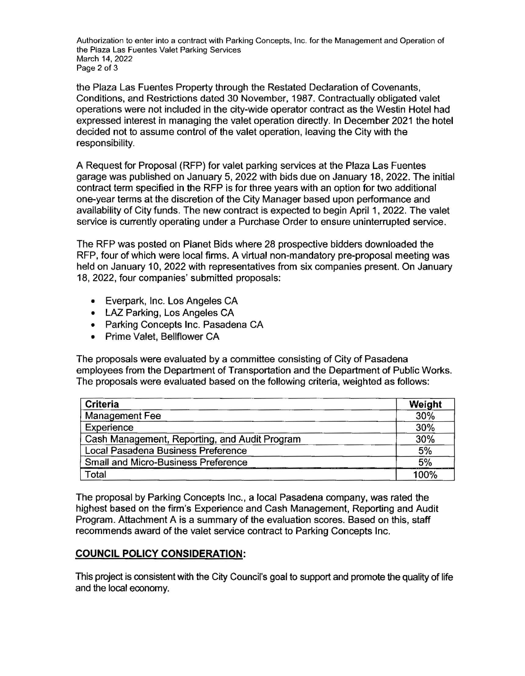Authorization to enter into a contract with Parking Concepts, Inc. for the Management and Operation of the Plaza Las Fuentes Valet Parking Services March 14, 2022 Page 2 of 3

the Plaza Las Fuentes Property through the Restated Declaration of Covenants, Conditions, and Restrictions dated 30 November, 1987. Contractually obligated valet operations were not included in the city-wide operator contract as the Westin Hotel had expressed interest in managing the valet operation directly. In December 2021 the hotel decided not to assume control of the valet operation, leaving the City with the responsibility.

A Request for Proposal (RFP) for valet parking services at the Plaza Las Fuentes garage was published on January 5, 2022 with bids due on January 18, 2022. The initial contract term specified in the RFP is for three years with an option for two additional one-year terms at the discretion of the City Manager based upon performance and availability of City funds. The new contract is expected to begin April 1, 2022. The valet service is currently operating under a Purchase Order to ensure uninterrupted service.

The RFP was posted on Planet Bids where 28 prospective bidders downloaded the RFP, four of which were local firms. A virtual non-mandatory pre-proposal meeting was held on January 10, 2022 with representatives from six companies present. On January 18, 2022, four companies' submitted proposals:

- Everpark, Inc. Los Angeles CA
- LAZ Parking, Los Angeles CA
- Parking Concepts Inc. Pasadena CA
- Prime Valet, Bellflower CA

The proposals were evaluated by a committee consisting of City of Pasadena employees from the Department of Transportation and the Department of Public Works. The proposals were evaluated based on the following criteria, weighted as follows:

| <b>Criteria</b>                               | Weight |
|-----------------------------------------------|--------|
| <b>Management Fee</b>                         | 30%    |
| Experience                                    | 30%    |
| Cash Management, Reporting, and Audit Program | 30%    |
| Local Pasadena Business Preference            | 5%     |
| Small and Micro-Business Preference           | 5%     |
| Total                                         | 100%   |

The proposal by Parking Concepts Inc., a local Pasadena company, was rated the highest based on the firm's Experience and Cash Management, Reporting and Audit Program. Attachment A is a summary of the evaluation scores. Based on this, staff recommends award of the valet service contract to Parking Concepts Inc.

## **COUNCIL POLICY CONSIDERATION:**

This project is consistent with the City Council's goal to support and promote the quality of life and the local economy.